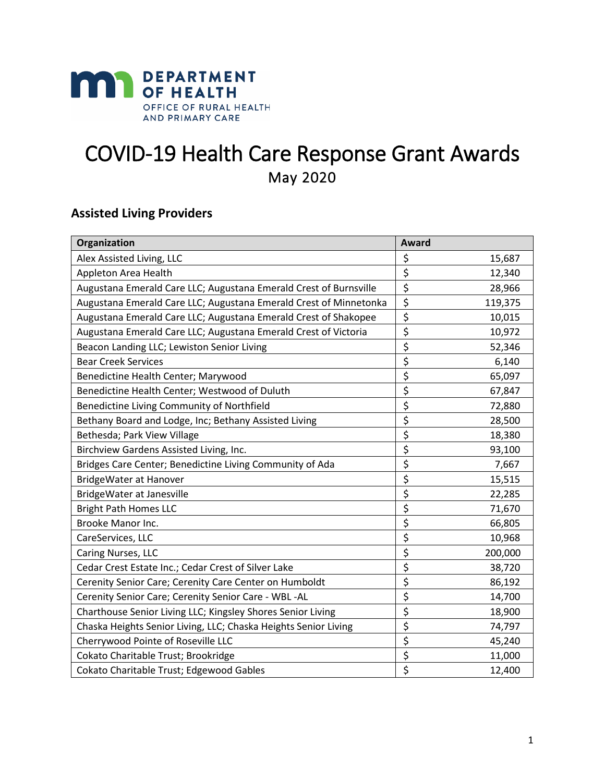

# COVID-19 Health Care Response Grant Awards May 2020

## **Assisted Living Providers**

| Organization                                                      | Award                               |         |
|-------------------------------------------------------------------|-------------------------------------|---------|
| Alex Assisted Living, LLC                                         | \$                                  | 15,687  |
| Appleton Area Health                                              | \$                                  | 12,340  |
| Augustana Emerald Care LLC; Augustana Emerald Crest of Burnsville | \$                                  | 28,966  |
| Augustana Emerald Care LLC; Augustana Emerald Crest of Minnetonka | \$                                  | 119,375 |
| Augustana Emerald Care LLC; Augustana Emerald Crest of Shakopee   | \$                                  | 10,015  |
| Augustana Emerald Care LLC; Augustana Emerald Crest of Victoria   | \$                                  | 10,972  |
| Beacon Landing LLC; Lewiston Senior Living                        | \$                                  | 52,346  |
| <b>Bear Creek Services</b>                                        | \$                                  | 6,140   |
| Benedictine Health Center; Marywood                               | \$                                  | 65,097  |
| Benedictine Health Center; Westwood of Duluth                     | \$                                  | 67,847  |
| Benedictine Living Community of Northfield                        | \$                                  | 72,880  |
| Bethany Board and Lodge, Inc; Bethany Assisted Living             | \$                                  | 28,500  |
| Bethesda; Park View Village                                       | \$                                  | 18,380  |
| Birchview Gardens Assisted Living, Inc.                           | \$                                  | 93,100  |
| Bridges Care Center; Benedictine Living Community of Ada          | \$                                  | 7,667   |
| <b>BridgeWater at Hanover</b>                                     | \$                                  | 15,515  |
| BridgeWater at Janesville                                         | \$                                  | 22,285  |
| <b>Bright Path Homes LLC</b>                                      | \$                                  | 71,670  |
| Brooke Manor Inc.                                                 | \$                                  | 66,805  |
| CareServices, LLC                                                 | $\overline{\boldsymbol{\xi}}$       | 10,968  |
| Caring Nurses, LLC                                                | \$                                  | 200,000 |
| Cedar Crest Estate Inc.; Cedar Crest of Silver Lake               | \$                                  | 38,720  |
| Cerenity Senior Care; Cerenity Care Center on Humboldt            | \$                                  | 86,192  |
| Cerenity Senior Care; Cerenity Senior Care - WBL -AL              | $\overline{\xi}$                    | 14,700  |
| Charthouse Senior Living LLC; Kingsley Shores Senior Living       | $\overline{\boldsymbol{\zeta}}$     | 18,900  |
| Chaska Heights Senior Living, LLC; Chaska Heights Senior Living   | $\overline{\boldsymbol{\zeta}}$     | 74,797  |
| Cherrywood Pointe of Roseville LLC                                | \$                                  | 45,240  |
| Cokato Charitable Trust; Brookridge                               | \$                                  | 11,000  |
| Cokato Charitable Trust; Edgewood Gables                          | $\overline{\boldsymbol{\varsigma}}$ | 12,400  |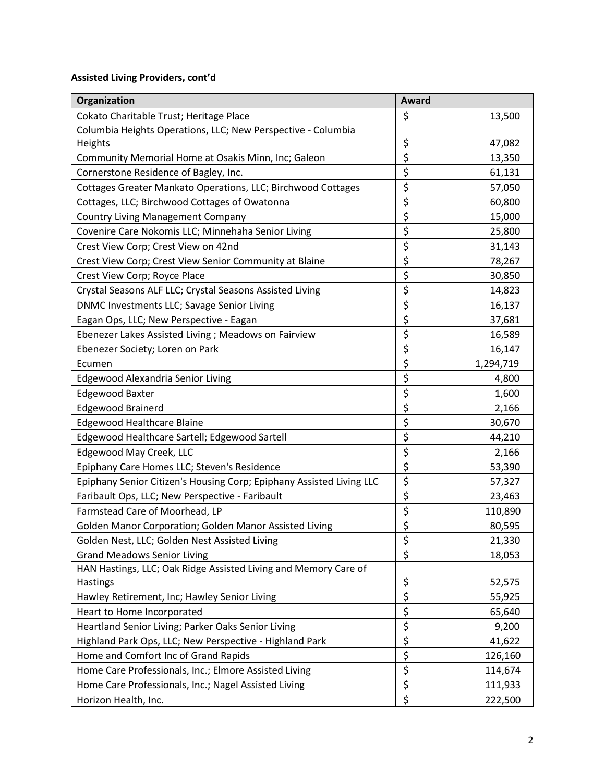| Organization                                                         | Award                               |           |
|----------------------------------------------------------------------|-------------------------------------|-----------|
| Cokato Charitable Trust; Heritage Place                              | \$                                  | 13,500    |
| Columbia Heights Operations, LLC; New Perspective - Columbia         |                                     |           |
| Heights                                                              | \$                                  | 47,082    |
| Community Memorial Home at Osakis Minn, Inc; Galeon                  | \$                                  | 13,350    |
| Cornerstone Residence of Bagley, Inc.                                | \$                                  | 61,131    |
| Cottages Greater Mankato Operations, LLC; Birchwood Cottages         | \$                                  | 57,050    |
| Cottages, LLC; Birchwood Cottages of Owatonna                        | \$                                  | 60,800    |
| <b>Country Living Management Company</b>                             | \$                                  | 15,000    |
| Covenire Care Nokomis LLC; Minnehaha Senior Living                   | \$                                  | 25,800    |
| Crest View Corp; Crest View on 42nd                                  | \$                                  | 31,143    |
| Crest View Corp; Crest View Senior Community at Blaine               | \$                                  | 78,267    |
| Crest View Corp; Royce Place                                         | \$                                  | 30,850    |
| Crystal Seasons ALF LLC; Crystal Seasons Assisted Living             | \$                                  | 14,823    |
| DNMC Investments LLC; Savage Senior Living                           | \$                                  | 16,137    |
| Eagan Ops, LLC; New Perspective - Eagan                              | \$                                  | 37,681    |
| Ebenezer Lakes Assisted Living ; Meadows on Fairview                 | \$                                  | 16,589    |
| Ebenezer Society; Loren on Park                                      | \$                                  | 16,147    |
| Ecumen                                                               | \$                                  | 1,294,719 |
| Edgewood Alexandria Senior Living                                    | $\overline{\boldsymbol{\zeta}}$     | 4,800     |
| <b>Edgewood Baxter</b>                                               | \$                                  | 1,600     |
| <b>Edgewood Brainerd</b>                                             | \$                                  | 2,166     |
| <b>Edgewood Healthcare Blaine</b>                                    | \$                                  | 30,670    |
| Edgewood Healthcare Sartell; Edgewood Sartell                        | \$                                  | 44,210    |
| Edgewood May Creek, LLC                                              | \$                                  | 2,166     |
| Epiphany Care Homes LLC; Steven's Residence                          | \$                                  | 53,390    |
| Epiphany Senior Citizen's Housing Corp; Epiphany Assisted Living LLC | \$                                  | 57,327    |
| Faribault Ops, LLC; New Perspective - Faribault                      | \$                                  | 23,463    |
| Farmstead Care of Moorhead, LP                                       | \$                                  | 110,890   |
| Golden Manor Corporation; Golden Manor Assisted Living               | \$                                  | 80,595    |
| Golden Nest, LLC; Golden Nest Assisted Living                        | \$                                  | 21,330    |
| <b>Grand Meadows Senior Living</b>                                   | $\overline{\boldsymbol{\varsigma}}$ | 18,053    |
| HAN Hastings, LLC; Oak Ridge Assisted Living and Memory Care of      |                                     |           |
| Hastings                                                             | \$                                  | 52,575    |
| Hawley Retirement, Inc; Hawley Senior Living                         | $\overline{\boldsymbol{\zeta}}$     | 55,925    |
| Heart to Home Incorporated                                           | $\overline{\boldsymbol{\zeta}}$     | 65,640    |
| Heartland Senior Living; Parker Oaks Senior Living                   | \$                                  | 9,200     |
| Highland Park Ops, LLC; New Perspective - Highland Park              | \$                                  | 41,622    |
| Home and Comfort Inc of Grand Rapids                                 | $\overline{\xi}$                    | 126,160   |
| Home Care Professionals, Inc.; Elmore Assisted Living                | \$                                  | 114,674   |
| Home Care Professionals, Inc.; Nagel Assisted Living                 | \$                                  | 111,933   |
| Horizon Health, Inc.                                                 | \$                                  | 222,500   |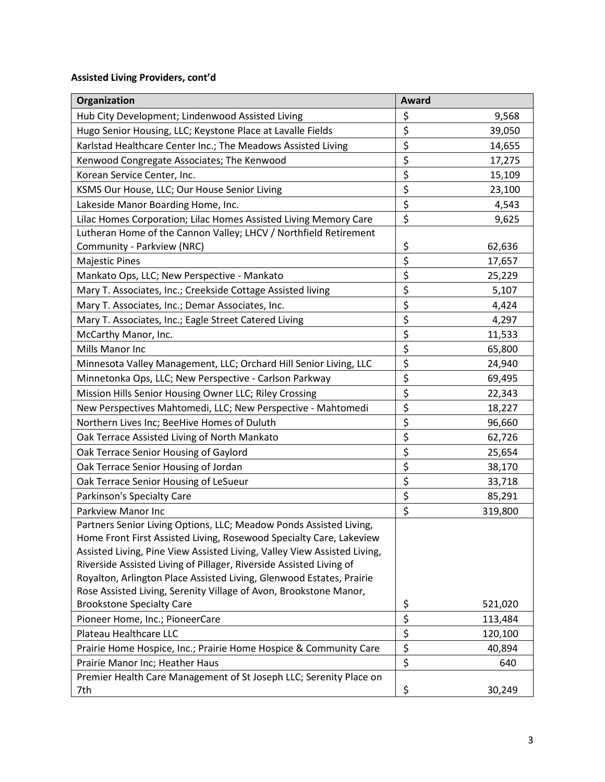| \$<br>Hub City Development; Lindenwood Assisted Living<br>9,568<br>\$<br>Hugo Senior Housing, LLC; Keystone Place at Lavalle Fields<br>39,050<br>\$<br>Karlstad Healthcare Center Inc.; The Meadows Assisted Living<br>14,655<br>\$<br>Kenwood Congregate Associates; The Kenwood<br>17,275<br>\$<br>Korean Service Center, Inc.<br>15,109<br>\$<br>KSMS Our House, LLC; Our House Senior Living<br>23,100<br>\$<br>Lakeside Manor Boarding Home, Inc.<br>4,543<br>\$<br>Lilac Homes Corporation; Lilac Homes Assisted Living Memory Care<br>9,625<br>Lutheran Home of the Cannon Valley; LHCV / Northfield Retirement<br>\$<br>62,636<br>Community - Parkview (NRC)<br>$\overline{\boldsymbol{\zeta}}$<br><b>Majestic Pines</b><br>17,657<br>\$<br>25,229<br>Mankato Ops, LLC; New Perspective - Mankato<br>\$<br>Mary T. Associates, Inc.; Creekside Cottage Assisted living<br>5,107<br>\$<br>Mary T. Associates, Inc.; Demar Associates, Inc.<br>4,424 | Organization                                          | Award            |       |
|------------------------------------------------------------------------------------------------------------------------------------------------------------------------------------------------------------------------------------------------------------------------------------------------------------------------------------------------------------------------------------------------------------------------------------------------------------------------------------------------------------------------------------------------------------------------------------------------------------------------------------------------------------------------------------------------------------------------------------------------------------------------------------------------------------------------------------------------------------------------------------------------------------------------------------------------------------|-------------------------------------------------------|------------------|-------|
|                                                                                                                                                                                                                                                                                                                                                                                                                                                                                                                                                                                                                                                                                                                                                                                                                                                                                                                                                            |                                                       |                  |       |
|                                                                                                                                                                                                                                                                                                                                                                                                                                                                                                                                                                                                                                                                                                                                                                                                                                                                                                                                                            |                                                       |                  |       |
|                                                                                                                                                                                                                                                                                                                                                                                                                                                                                                                                                                                                                                                                                                                                                                                                                                                                                                                                                            |                                                       |                  |       |
|                                                                                                                                                                                                                                                                                                                                                                                                                                                                                                                                                                                                                                                                                                                                                                                                                                                                                                                                                            |                                                       |                  |       |
|                                                                                                                                                                                                                                                                                                                                                                                                                                                                                                                                                                                                                                                                                                                                                                                                                                                                                                                                                            |                                                       |                  |       |
|                                                                                                                                                                                                                                                                                                                                                                                                                                                                                                                                                                                                                                                                                                                                                                                                                                                                                                                                                            |                                                       |                  |       |
|                                                                                                                                                                                                                                                                                                                                                                                                                                                                                                                                                                                                                                                                                                                                                                                                                                                                                                                                                            |                                                       |                  |       |
|                                                                                                                                                                                                                                                                                                                                                                                                                                                                                                                                                                                                                                                                                                                                                                                                                                                                                                                                                            |                                                       |                  |       |
|                                                                                                                                                                                                                                                                                                                                                                                                                                                                                                                                                                                                                                                                                                                                                                                                                                                                                                                                                            |                                                       |                  |       |
|                                                                                                                                                                                                                                                                                                                                                                                                                                                                                                                                                                                                                                                                                                                                                                                                                                                                                                                                                            |                                                       |                  |       |
|                                                                                                                                                                                                                                                                                                                                                                                                                                                                                                                                                                                                                                                                                                                                                                                                                                                                                                                                                            |                                                       |                  |       |
|                                                                                                                                                                                                                                                                                                                                                                                                                                                                                                                                                                                                                                                                                                                                                                                                                                                                                                                                                            |                                                       |                  |       |
|                                                                                                                                                                                                                                                                                                                                                                                                                                                                                                                                                                                                                                                                                                                                                                                                                                                                                                                                                            |                                                       |                  |       |
|                                                                                                                                                                                                                                                                                                                                                                                                                                                                                                                                                                                                                                                                                                                                                                                                                                                                                                                                                            |                                                       |                  |       |
|                                                                                                                                                                                                                                                                                                                                                                                                                                                                                                                                                                                                                                                                                                                                                                                                                                                                                                                                                            | Mary T. Associates, Inc.; Eagle Street Catered Living | $\overline{\xi}$ | 4,297 |
| $\overline{\mathbf{z}}$<br>McCarthy Manor, Inc.<br>11,533                                                                                                                                                                                                                                                                                                                                                                                                                                                                                                                                                                                                                                                                                                                                                                                                                                                                                                  |                                                       |                  |       |
| $\overline{\xi}$<br>Mills Manor Inc<br>65,800                                                                                                                                                                                                                                                                                                                                                                                                                                                                                                                                                                                                                                                                                                                                                                                                                                                                                                              |                                                       |                  |       |
| $\overline{\mathbf{z}}$<br>Minnesota Valley Management, LLC; Orchard Hill Senior Living, LLC<br>24,940                                                                                                                                                                                                                                                                                                                                                                                                                                                                                                                                                                                                                                                                                                                                                                                                                                                     |                                                       |                  |       |
| $\overline{\boldsymbol{\zeta}}$<br>Minnetonka Ops, LLC; New Perspective - Carlson Parkway<br>69,495                                                                                                                                                                                                                                                                                                                                                                                                                                                                                                                                                                                                                                                                                                                                                                                                                                                        |                                                       |                  |       |
| $\overline{\xi}$<br>Mission Hills Senior Housing Owner LLC; Riley Crossing<br>22,343                                                                                                                                                                                                                                                                                                                                                                                                                                                                                                                                                                                                                                                                                                                                                                                                                                                                       |                                                       |                  |       |
| $\overline{\xi}$<br>New Perspectives Mahtomedi, LLC; New Perspective - Mahtomedi<br>18,227                                                                                                                                                                                                                                                                                                                                                                                                                                                                                                                                                                                                                                                                                                                                                                                                                                                                 |                                                       |                  |       |
| \$<br>Northern Lives Inc; BeeHive Homes of Duluth<br>96,660                                                                                                                                                                                                                                                                                                                                                                                                                                                                                                                                                                                                                                                                                                                                                                                                                                                                                                |                                                       |                  |       |
| $\overline{\mathbf{z}}$<br>Oak Terrace Assisted Living of North Mankato<br>62,726                                                                                                                                                                                                                                                                                                                                                                                                                                                                                                                                                                                                                                                                                                                                                                                                                                                                          |                                                       |                  |       |
| \$<br>Oak Terrace Senior Housing of Gaylord<br>25,654                                                                                                                                                                                                                                                                                                                                                                                                                                                                                                                                                                                                                                                                                                                                                                                                                                                                                                      |                                                       |                  |       |
| $\overline{\boldsymbol{\zeta}}$<br>Oak Terrace Senior Housing of Jordan<br>38,170                                                                                                                                                                                                                                                                                                                                                                                                                                                                                                                                                                                                                                                                                                                                                                                                                                                                          |                                                       |                  |       |
| $\overline{\boldsymbol{\xi}}$<br>Oak Terrace Senior Housing of LeSueur<br>33,718                                                                                                                                                                                                                                                                                                                                                                                                                                                                                                                                                                                                                                                                                                                                                                                                                                                                           |                                                       |                  |       |
| $\overline{\boldsymbol{\zeta}}$<br>Parkinson's Specialty Care<br>85,291                                                                                                                                                                                                                                                                                                                                                                                                                                                                                                                                                                                                                                                                                                                                                                                                                                                                                    |                                                       |                  |       |
| $\overline{\xi}$<br>Parkview Manor Inc<br>319,800                                                                                                                                                                                                                                                                                                                                                                                                                                                                                                                                                                                                                                                                                                                                                                                                                                                                                                          |                                                       |                  |       |
| Partners Senior Living Options, LLC; Meadow Ponds Assisted Living,                                                                                                                                                                                                                                                                                                                                                                                                                                                                                                                                                                                                                                                                                                                                                                                                                                                                                         |                                                       |                  |       |
| Home Front First Assisted Living, Rosewood Specialty Care, Lakeview                                                                                                                                                                                                                                                                                                                                                                                                                                                                                                                                                                                                                                                                                                                                                                                                                                                                                        |                                                       |                  |       |
| Assisted Living, Pine View Assisted Living, Valley View Assisted Living,                                                                                                                                                                                                                                                                                                                                                                                                                                                                                                                                                                                                                                                                                                                                                                                                                                                                                   |                                                       |                  |       |
| Riverside Assisted Living of Pillager, Riverside Assisted Living of                                                                                                                                                                                                                                                                                                                                                                                                                                                                                                                                                                                                                                                                                                                                                                                                                                                                                        |                                                       |                  |       |
| Royalton, Arlington Place Assisted Living, Glenwood Estates, Prairie                                                                                                                                                                                                                                                                                                                                                                                                                                                                                                                                                                                                                                                                                                                                                                                                                                                                                       |                                                       |                  |       |
| Rose Assisted Living, Serenity Village of Avon, Brookstone Manor,                                                                                                                                                                                                                                                                                                                                                                                                                                                                                                                                                                                                                                                                                                                                                                                                                                                                                          |                                                       |                  |       |
| \$<br><b>Brookstone Specialty Care</b><br>521,020                                                                                                                                                                                                                                                                                                                                                                                                                                                                                                                                                                                                                                                                                                                                                                                                                                                                                                          |                                                       |                  |       |
| \$<br>Pioneer Home, Inc.; PioneerCare<br>113,484                                                                                                                                                                                                                                                                                                                                                                                                                                                                                                                                                                                                                                                                                                                                                                                                                                                                                                           |                                                       |                  |       |
| $\overline{\xi}$<br>Plateau Healthcare LLC<br>120,100                                                                                                                                                                                                                                                                                                                                                                                                                                                                                                                                                                                                                                                                                                                                                                                                                                                                                                      |                                                       |                  |       |
| \$<br>Prairie Home Hospice, Inc.; Prairie Home Hospice & Community Care<br>40,894                                                                                                                                                                                                                                                                                                                                                                                                                                                                                                                                                                                                                                                                                                                                                                                                                                                                          |                                                       |                  |       |
| \$<br>Prairie Manor Inc; Heather Haus<br>640<br>Premier Health Care Management of St Joseph LLC; Serenity Place on                                                                                                                                                                                                                                                                                                                                                                                                                                                                                                                                                                                                                                                                                                                                                                                                                                         |                                                       |                  |       |
| \$<br>7th<br>30,249                                                                                                                                                                                                                                                                                                                                                                                                                                                                                                                                                                                                                                                                                                                                                                                                                                                                                                                                        |                                                       |                  |       |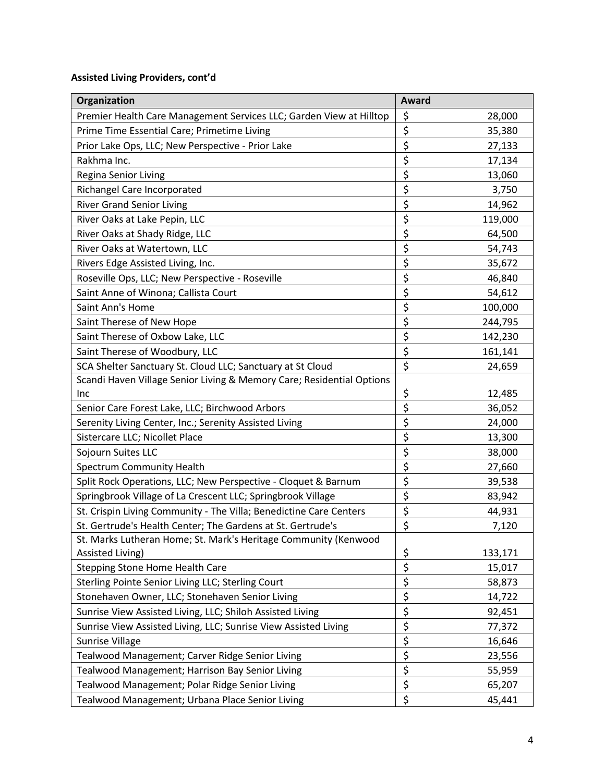| Organization                                                          | Award                                     |  |
|-----------------------------------------------------------------------|-------------------------------------------|--|
| Premier Health Care Management Services LLC; Garden View at Hilltop   | \$<br>28,000                              |  |
| Prime Time Essential Care; Primetime Living                           | \$<br>35,380                              |  |
| Prior Lake Ops, LLC; New Perspective - Prior Lake                     | \$<br>27,133                              |  |
| Rakhma Inc.                                                           | \$<br>17,134                              |  |
| Regina Senior Living                                                  | \$<br>13,060                              |  |
| Richangel Care Incorporated                                           | \$<br>3,750                               |  |
| <b>River Grand Senior Living</b>                                      | \$<br>14,962                              |  |
| River Oaks at Lake Pepin, LLC                                         | \$<br>119,000                             |  |
| River Oaks at Shady Ridge, LLC                                        | \$<br>64,500                              |  |
| River Oaks at Watertown, LLC                                          | \$<br>54,743                              |  |
| Rivers Edge Assisted Living, Inc.                                     | \$<br>35,672                              |  |
| Roseville Ops, LLC; New Perspective - Roseville                       | \$<br>46,840                              |  |
| Saint Anne of Winona; Callista Court                                  | \$<br>54,612                              |  |
| Saint Ann's Home                                                      | \$<br>100,000                             |  |
| Saint Therese of New Hope                                             | \$<br>244,795                             |  |
| Saint Therese of Oxbow Lake, LLC                                      | \$<br>142,230                             |  |
| Saint Therese of Woodbury, LLC                                        | \$<br>161,141                             |  |
| SCA Shelter Sanctuary St. Cloud LLC; Sanctuary at St Cloud            | $\overline{\boldsymbol{\xi}}$<br>24,659   |  |
| Scandi Haven Village Senior Living & Memory Care; Residential Options |                                           |  |
| Inc                                                                   | \$<br>12,485                              |  |
| Senior Care Forest Lake, LLC; Birchwood Arbors                        | \$<br>36,052                              |  |
| Serenity Living Center, Inc.; Serenity Assisted Living                | $\overline{\xi}$<br>24,000                |  |
| Sistercare LLC; Nicollet Place                                        | $\overline{\xi}$<br>13,300                |  |
| Sojourn Suites LLC                                                    | \$<br>38,000                              |  |
| Spectrum Community Health                                             | $\overline{\xi}$<br>27,660                |  |
| Split Rock Operations, LLC; New Perspective - Cloquet & Barnum        | \$<br>39,538                              |  |
| Springbrook Village of La Crescent LLC; Springbrook Village           | $\overline{\xi}$<br>83,942                |  |
| St. Crispin Living Community - The Villa; Benedictine Care Centers    | $\overline{\boldsymbol{\zeta}}$<br>44,931 |  |
| St. Gertrude's Health Center; The Gardens at St. Gertrude's           | \$<br>7,120                               |  |
| St. Marks Lutheran Home; St. Mark's Heritage Community (Kenwood       |                                           |  |
| Assisted Living)                                                      | $rac{5}{5}$<br>133,171                    |  |
| Stepping Stone Home Health Care                                       | 15,017                                    |  |
| Sterling Pointe Senior Living LLC; Sterling Court                     | 58,873                                    |  |
| Stonehaven Owner, LLC; Stonehaven Senior Living                       | $\overline{\xi}$<br>14,722                |  |
| Sunrise View Assisted Living, LLC; Shiloh Assisted Living             | \$<br>92,451                              |  |
| Sunrise View Assisted Living, LLC; Sunrise View Assisted Living       | \$<br>77,372                              |  |
| Sunrise Village                                                       | \$<br>16,646                              |  |
| Tealwood Management; Carver Ridge Senior Living                       | $\overline{\xi}$<br>23,556                |  |
| Tealwood Management; Harrison Bay Senior Living                       | \$<br>55,959                              |  |
| Tealwood Management; Polar Ridge Senior Living                        | $\overline{\boldsymbol{\xi}}$<br>65,207   |  |
| Tealwood Management; Urbana Place Senior Living                       | \$<br>45,441                              |  |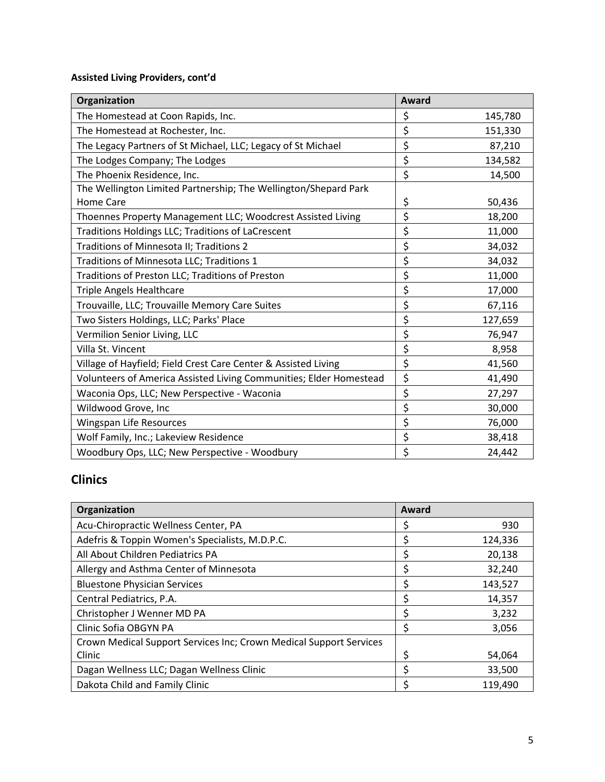| Organization                                                       | Award |         |
|--------------------------------------------------------------------|-------|---------|
| The Homestead at Coon Rapids, Inc.                                 | \$    | 145,780 |
| The Homestead at Rochester, Inc.                                   | \$    | 151,330 |
| The Legacy Partners of St Michael, LLC; Legacy of St Michael       | \$    | 87,210  |
| The Lodges Company; The Lodges                                     | \$    | 134,582 |
| The Phoenix Residence, Inc.                                        | \$    | 14,500  |
| The Wellington Limited Partnership; The Wellington/Shepard Park    |       |         |
| <b>Home Care</b>                                                   | \$    | 50,436  |
| Thoennes Property Management LLC; Woodcrest Assisted Living        | \$    | 18,200  |
| Traditions Holdings LLC; Traditions of LaCrescent                  | \$    | 11,000  |
| Traditions of Minnesota II; Traditions 2                           | \$    | 34,032  |
| Traditions of Minnesota LLC; Traditions 1                          | \$    | 34,032  |
| Traditions of Preston LLC; Traditions of Preston                   | \$    | 11,000  |
| <b>Triple Angels Healthcare</b>                                    | \$    | 17,000  |
| Trouvaille, LLC; Trouvaille Memory Care Suites                     | \$    | 67,116  |
| Two Sisters Holdings, LLC; Parks' Place                            | \$    | 127,659 |
| Vermilion Senior Living, LLC                                       | \$    | 76,947  |
| Villa St. Vincent                                                  | \$    | 8,958   |
| Village of Hayfield; Field Crest Care Center & Assisted Living     | \$    | 41,560  |
| Volunteers of America Assisted Living Communities; Elder Homestead | \$    | 41,490  |
| Waconia Ops, LLC; New Perspective - Waconia                        | \$    | 27,297  |
| Wildwood Grove, Inc                                                | \$    | 30,000  |
| Wingspan Life Resources                                            | \$    | 76,000  |
| Wolf Family, Inc.; Lakeview Residence                              | \$    | 38,418  |
| Woodbury Ops, LLC; New Perspective - Woodbury                      | \$    | 24,442  |

## **Clinics**

| Organization                                                       | Award |         |
|--------------------------------------------------------------------|-------|---------|
| Acu-Chiropractic Wellness Center, PA                               | \$    | 930     |
| Adefris & Toppin Women's Specialists, M.D.P.C.                     | \$    | 124,336 |
| All About Children Pediatrics PA                                   | \$    | 20,138  |
| Allergy and Asthma Center of Minnesota                             | \$    | 32,240  |
| <b>Bluestone Physician Services</b>                                | \$    | 143,527 |
| Central Pediatrics, P.A.                                           | \$    | 14,357  |
| Christopher J Wenner MD PA                                         | \$    | 3,232   |
| Clinic Sofia OBGYN PA                                              | \$    | 3,056   |
| Crown Medical Support Services Inc; Crown Medical Support Services |       |         |
| Clinic                                                             | \$    | 54,064  |
| Dagan Wellness LLC; Dagan Wellness Clinic                          | \$    | 33,500  |
| Dakota Child and Family Clinic                                     | Ś     | 119,490 |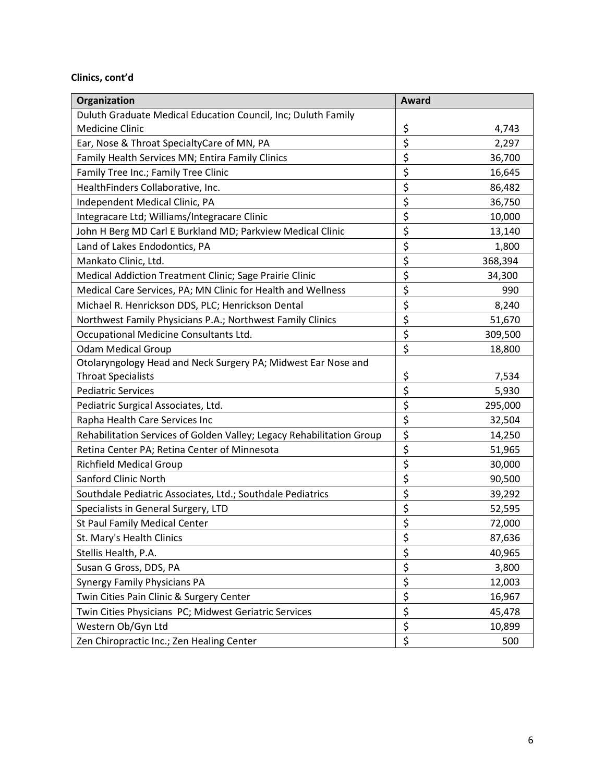#### **Clinics, cont'd**

| Organization                                                          | <b>Award</b>                    |         |
|-----------------------------------------------------------------------|---------------------------------|---------|
| Duluth Graduate Medical Education Council, Inc; Duluth Family         |                                 |         |
| <b>Medicine Clinic</b>                                                |                                 | 4,743   |
| Ear, Nose & Throat SpecialtyCare of MN, PA                            | $rac{5}{5}$                     | 2,297   |
| Family Health Services MN; Entira Family Clinics                      | \$                              | 36,700  |
| Family Tree Inc.; Family Tree Clinic                                  | \$                              | 16,645  |
| HealthFinders Collaborative, Inc.                                     | \$                              | 86,482  |
| Independent Medical Clinic, PA                                        | \$                              | 36,750  |
| Integracare Ltd; Williams/Integracare Clinic                          | \$                              | 10,000  |
| John H Berg MD Carl E Burkland MD; Parkview Medical Clinic            | \$                              | 13,140  |
| Land of Lakes Endodontics, PA                                         | \$                              | 1,800   |
| Mankato Clinic, Ltd.                                                  | \$                              | 368,394 |
| Medical Addiction Treatment Clinic; Sage Prairie Clinic               | \$                              | 34,300  |
| Medical Care Services, PA; MN Clinic for Health and Wellness          | \$                              | 990     |
| Michael R. Henrickson DDS, PLC; Henrickson Dental                     | \$                              | 8,240   |
| Northwest Family Physicians P.A.; Northwest Family Clinics            | \$                              | 51,670  |
| Occupational Medicine Consultants Ltd.                                | \$                              | 309,500 |
| <b>Odam Medical Group</b>                                             | \$                              | 18,800  |
| Otolaryngology Head and Neck Surgery PA; Midwest Ear Nose and         |                                 |         |
| <b>Throat Specialists</b>                                             | \$                              | 7,534   |
| <b>Pediatric Services</b>                                             | \$                              | 5,930   |
| Pediatric Surgical Associates, Ltd.                                   | \$                              | 295,000 |
| Rapha Health Care Services Inc                                        | \$                              | 32,504  |
| Rehabilitation Services of Golden Valley; Legacy Rehabilitation Group | \$                              | 14,250  |
| Retina Center PA; Retina Center of Minnesota                          | \$                              | 51,965  |
| <b>Richfield Medical Group</b>                                        | \$                              | 30,000  |
| Sanford Clinic North                                                  | \$                              | 90,500  |
| Southdale Pediatric Associates, Ltd.; Southdale Pediatrics            | \$                              | 39,292  |
| Specialists in General Surgery, LTD                                   | $\overline{\boldsymbol{\zeta}}$ | 52,595  |
| St Paul Family Medical Center                                         | \$                              | 72,000  |
| St. Mary's Health Clinics                                             |                                 | 87,636  |
| Stellis Health, P.A.                                                  | <u>ې</u><br>\$                  | 40,965  |
| Susan G Gross, DDS, PA                                                | $\overline{\xi}$                | 3,800   |
| <b>Synergy Family Physicians PA</b>                                   | \$                              | 12,003  |
| Twin Cities Pain Clinic & Surgery Center                              | \$                              | 16,967  |
| Twin Cities Physicians PC; Midwest Geriatric Services                 | \$                              | 45,478  |
| Western Ob/Gyn Ltd                                                    | \$                              | 10,899  |
| Zen Chiropractic Inc.; Zen Healing Center                             | \$                              | 500     |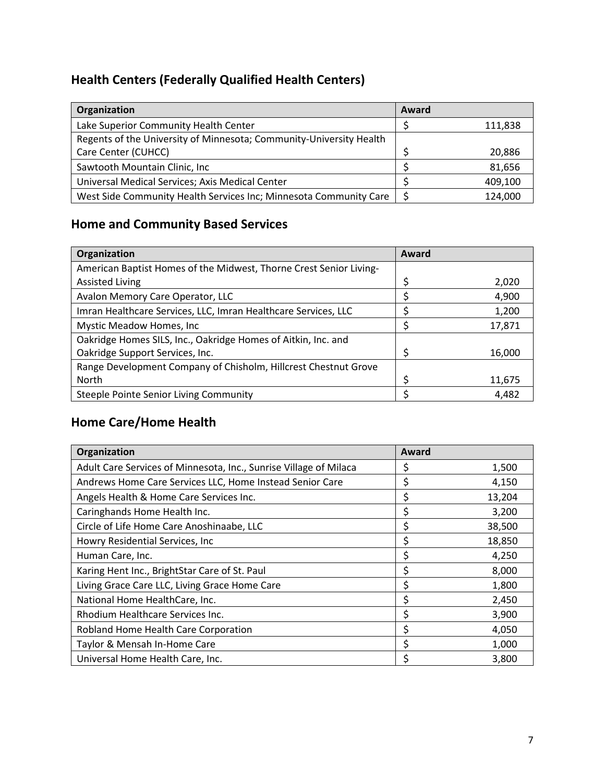## **Health Centers (Federally Qualified Health Centers)**

| Organization                                                        | Award |         |
|---------------------------------------------------------------------|-------|---------|
| Lake Superior Community Health Center                               |       | 111,838 |
| Regents of the University of Minnesota; Community-University Health |       |         |
| Care Center (CUHCC)                                                 |       | 20,886  |
| Sawtooth Mountain Clinic, Inc                                       |       | 81,656  |
| Universal Medical Services; Axis Medical Center                     |       | 409,100 |
| West Side Community Health Services Inc; Minnesota Community Care   |       | 124,000 |

## **Home and Community Based Services**

| Organization                                                       | Award |        |
|--------------------------------------------------------------------|-------|--------|
| American Baptist Homes of the Midwest, Thorne Crest Senior Living- |       |        |
| <b>Assisted Living</b>                                             | \$    | 2,020  |
| Avalon Memory Care Operator, LLC                                   |       | 4,900  |
| Imran Healthcare Services, LLC, Imran Healthcare Services, LLC     |       | 1,200  |
| Mystic Meadow Homes, Inc.                                          |       | 17,871 |
| Oakridge Homes SILS, Inc., Oakridge Homes of Aitkin, Inc. and      |       |        |
| Oakridge Support Services, Inc.                                    | \$    | 16,000 |
| Range Development Company of Chisholm, Hillcrest Chestnut Grove    |       |        |
| North                                                              | ς     | 11,675 |
| Steeple Pointe Senior Living Community                             |       | 4,482  |

## **Home Care/Home Health**

| Organization                                                      | Award |        |
|-------------------------------------------------------------------|-------|--------|
| Adult Care Services of Minnesota, Inc., Sunrise Village of Milaca | Ş     | 1,500  |
| Andrews Home Care Services LLC, Home Instead Senior Care          | \$    | 4,150  |
| Angels Health & Home Care Services Inc.                           | \$    | 13,204 |
| Caringhands Home Health Inc.                                      | \$    | 3,200  |
| Circle of Life Home Care Anoshinaabe, LLC                         | \$    | 38,500 |
| Howry Residential Services, Inc.                                  | \$    | 18,850 |
| Human Care, Inc.                                                  | \$    | 4,250  |
| Karing Hent Inc., BrightStar Care of St. Paul                     | \$    | 8,000  |
| Living Grace Care LLC, Living Grace Home Care                     | \$    | 1,800  |
| National Home HealthCare, Inc.                                    | \$    | 2,450  |
| Rhodium Healthcare Services Inc.                                  | \$    | 3,900  |
| Robland Home Health Care Corporation                              | \$    | 4,050  |
| Taylor & Mensah In-Home Care                                      | \$    | 1,000  |
| Universal Home Health Care, Inc.                                  | Ś.    | 3,800  |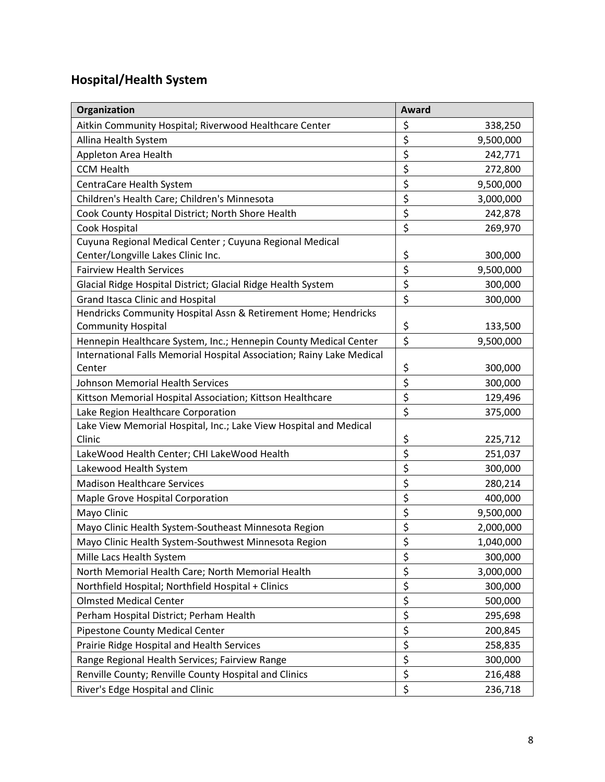# **Hospital/Health System**

| Organization                                                          | Award                   |           |
|-----------------------------------------------------------------------|-------------------------|-----------|
| Aitkin Community Hospital; Riverwood Healthcare Center                | \$                      | 338,250   |
| Allina Health System                                                  | \$                      | 9,500,000 |
| Appleton Area Health                                                  | \$                      | 242,771   |
| <b>CCM Health</b>                                                     | \$                      | 272,800   |
| CentraCare Health System                                              | \$                      | 9,500,000 |
| Children's Health Care; Children's Minnesota                          | \$                      | 3,000,000 |
| Cook County Hospital District; North Shore Health                     | \$                      | 242,878   |
| Cook Hospital                                                         | \$                      | 269,970   |
| Cuyuna Regional Medical Center; Cuyuna Regional Medical               |                         |           |
| Center/Longville Lakes Clinic Inc.                                    | \$                      | 300,000   |
| <b>Fairview Health Services</b>                                       | \$                      | 9,500,000 |
| Glacial Ridge Hospital District; Glacial Ridge Health System          | \$                      | 300,000   |
| <b>Grand Itasca Clinic and Hospital</b>                               | \$                      | 300,000   |
| Hendricks Community Hospital Assn & Retirement Home; Hendricks        |                         |           |
| <b>Community Hospital</b>                                             | \$                      | 133,500   |
| Hennepin Healthcare System, Inc.; Hennepin County Medical Center      | \$                      | 9,500,000 |
| International Falls Memorial Hospital Association; Rainy Lake Medical |                         |           |
| Center                                                                | \$                      | 300,000   |
| <b>Johnson Memorial Health Services</b>                               | \$                      | 300,000   |
| Kittson Memorial Hospital Association; Kittson Healthcare             | \$                      | 129,496   |
| Lake Region Healthcare Corporation                                    | \$                      | 375,000   |
| Lake View Memorial Hospital, Inc.; Lake View Hospital and Medical     |                         |           |
| Clinic                                                                | \$                      | 225,712   |
| LakeWood Health Center; CHI LakeWood Health                           | \$                      | 251,037   |
| Lakewood Health System                                                | \$                      | 300,000   |
| <b>Madison Healthcare Services</b>                                    | \$                      | 280,214   |
| Maple Grove Hospital Corporation                                      | \$                      | 400,000   |
| Mayo Clinic                                                           | \$                      | 9,500,000 |
| Mayo Clinic Health System-Southeast Minnesota Region                  | \$                      | 2,000,000 |
| Mayo Clinic Health System-Southwest Minnesota Region                  | $\overline{\mathsf{S}}$ | 1,040,000 |
| Mille Lacs Health System                                              | \$                      | 300,000   |
| North Memorial Health Care; North Memorial Health                     | \$                      | 3,000,000 |
| Northfield Hospital; Northfield Hospital + Clinics                    | $\overline{\mathsf{S}}$ | 300,000   |
| <b>Olmsted Medical Center</b>                                         | $\overline{\mathsf{S}}$ | 500,000   |
| Perham Hospital District; Perham Health                               | \$                      | 295,698   |
| <b>Pipestone County Medical Center</b>                                | \$                      | 200,845   |
| Prairie Ridge Hospital and Health Services                            | \$                      | 258,835   |
| Range Regional Health Services; Fairview Range                        | \$                      | 300,000   |
| Renville County; Renville County Hospital and Clinics                 | \$                      | 216,488   |
| River's Edge Hospital and Clinic                                      | $\overline{\xi}$        | 236,718   |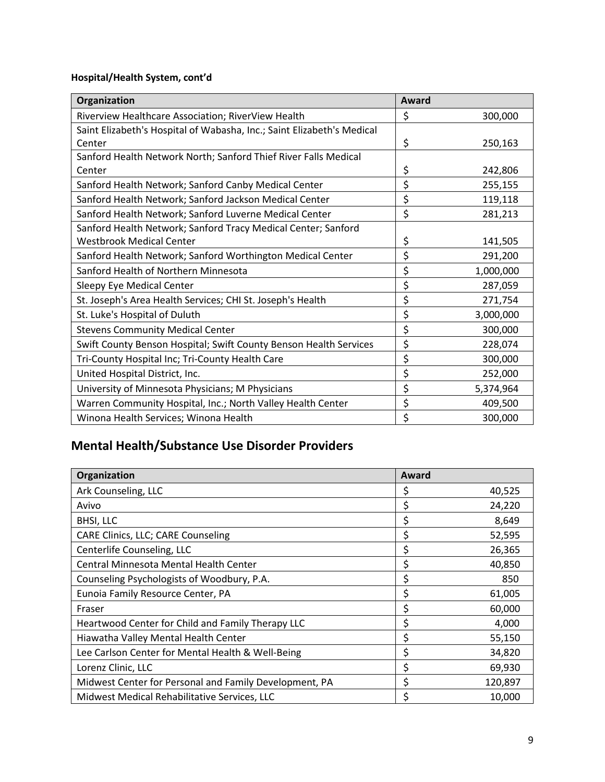## **Hospital/Health System, cont'd**

| Organization                                                           | Award |           |
|------------------------------------------------------------------------|-------|-----------|
| Riverview Healthcare Association; RiverView Health                     | \$    | 300,000   |
| Saint Elizabeth's Hospital of Wabasha, Inc.; Saint Elizabeth's Medical |       |           |
| Center                                                                 | \$    | 250,163   |
| Sanford Health Network North; Sanford Thief River Falls Medical        |       |           |
| Center                                                                 | \$    | 242,806   |
| Sanford Health Network; Sanford Canby Medical Center                   | \$    | 255,155   |
| Sanford Health Network; Sanford Jackson Medical Center                 | \$    | 119,118   |
| Sanford Health Network; Sanford Luverne Medical Center                 | \$    | 281,213   |
| Sanford Health Network; Sanford Tracy Medical Center; Sanford          |       |           |
| <b>Westbrook Medical Center</b>                                        | \$    | 141,505   |
| Sanford Health Network; Sanford Worthington Medical Center             | \$    | 291,200   |
| Sanford Health of Northern Minnesota                                   | \$    | 1,000,000 |
| Sleepy Eye Medical Center                                              | \$    | 287,059   |
| St. Joseph's Area Health Services; CHI St. Joseph's Health             | \$    | 271,754   |
| St. Luke's Hospital of Duluth                                          | \$    | 3,000,000 |
| <b>Stevens Community Medical Center</b>                                | \$    | 300,000   |
| Swift County Benson Hospital; Swift County Benson Health Services      | \$    | 228,074   |
| Tri-County Hospital Inc; Tri-County Health Care                        | \$    | 300,000   |
| United Hospital District, Inc.                                         | \$    | 252,000   |
| University of Minnesota Physicians; M Physicians                       | \$    | 5,374,964 |
| Warren Community Hospital, Inc.; North Valley Health Center            | \$    | 409,500   |
| Winona Health Services; Winona Health                                  | \$    | 300,000   |

## **Mental Health/Substance Use Disorder Providers**

| Organization                                           | Award |         |
|--------------------------------------------------------|-------|---------|
| Ark Counseling, LLC                                    | \$    | 40,525  |
| Avivo                                                  | \$    | 24,220  |
| <b>BHSI, LLC</b>                                       | \$    | 8,649   |
| CARE Clinics, LLC; CARE Counseling                     | \$    | 52,595  |
| Centerlife Counseling, LLC                             | \$    | 26,365  |
| Central Minnesota Mental Health Center                 | \$    | 40,850  |
| Counseling Psychologists of Woodbury, P.A.             | \$    | 850     |
| Eunoia Family Resource Center, PA                      | \$    | 61,005  |
| Fraser                                                 | \$    | 60,000  |
| Heartwood Center for Child and Family Therapy LLC      | \$    | 4,000   |
| Hiawatha Valley Mental Health Center                   | \$    | 55,150  |
| Lee Carlson Center for Mental Health & Well-Being      | \$    | 34,820  |
| Lorenz Clinic, LLC                                     | \$    | 69,930  |
| Midwest Center for Personal and Family Development, PA | \$    | 120,897 |
| Midwest Medical Rehabilitative Services, LLC           | \$    | 10,000  |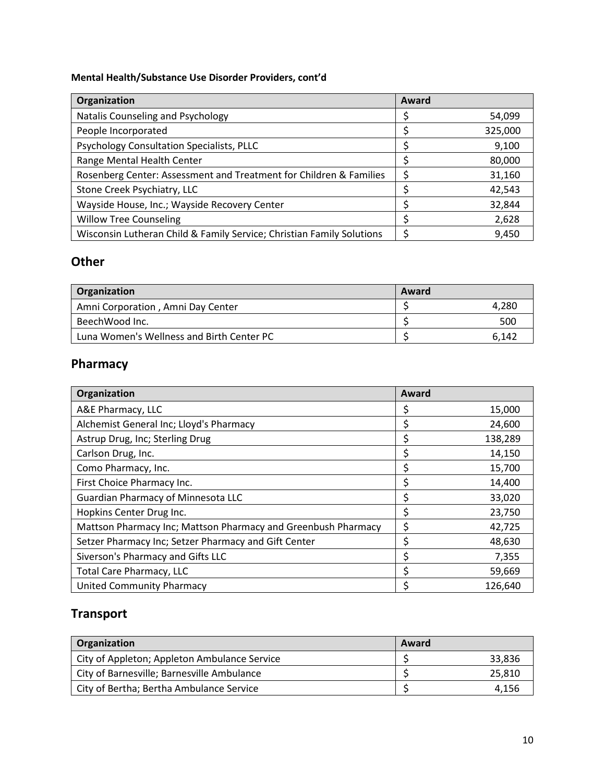## **Mental Health/Substance Use Disorder Providers, cont'd**

| Organization                                                          | Award |         |
|-----------------------------------------------------------------------|-------|---------|
| Natalis Counseling and Psychology                                     |       | 54,099  |
| People Incorporated                                                   |       | 325,000 |
| Psychology Consultation Specialists, PLLC                             |       | 9,100   |
| Range Mental Health Center                                            |       | 80,000  |
| Rosenberg Center: Assessment and Treatment for Children & Families    |       | 31,160  |
| Stone Creek Psychiatry, LLC                                           |       | 42,543  |
| Wayside House, Inc.; Wayside Recovery Center                          |       | 32,844  |
| <b>Willow Tree Counseling</b>                                         |       | 2,628   |
| Wisconsin Lutheran Child & Family Service; Christian Family Solutions |       | 9,450   |

## **Other**

| Organization                              | Award |       |
|-------------------------------------------|-------|-------|
| Amni Corporation, Amni Day Center         |       | 4.280 |
| BeechWood Inc.                            |       | 500   |
| Luna Women's Wellness and Birth Center PC |       | 6.142 |

## **Pharmacy**

| Organization                                                  | Award |         |
|---------------------------------------------------------------|-------|---------|
| A&E Pharmacy, LLC                                             |       | 15,000  |
| Alchemist General Inc; Lloyd's Pharmacy                       | Ş     | 24,600  |
| Astrup Drug, Inc; Sterling Drug                               |       | 138,289 |
| Carlson Drug, Inc.                                            | \$    | 14,150  |
| Como Pharmacy, Inc.                                           | \$    | 15,700  |
| First Choice Pharmacy Inc.                                    | Ś     | 14,400  |
| Guardian Pharmacy of Minnesota LLC                            | Ś     | 33,020  |
| Hopkins Center Drug Inc.                                      | \$    | 23,750  |
| Mattson Pharmacy Inc; Mattson Pharmacy and Greenbush Pharmacy | \$    | 42,725  |
| Setzer Pharmacy Inc; Setzer Pharmacy and Gift Center          | \$    | 48,630  |
| Siverson's Pharmacy and Gifts LLC                             |       | 7,355   |
| <b>Total Care Pharmacy, LLC</b>                               | Ś     | 59,669  |
| <b>United Community Pharmacy</b>                              |       | 126,640 |

## **Transport**

| Organization                                 | Award |        |
|----------------------------------------------|-------|--------|
| City of Appleton; Appleton Ambulance Service |       | 33,836 |
| City of Barnesville; Barnesville Ambulance   |       | 25.810 |
| City of Bertha; Bertha Ambulance Service     |       | 4.156  |